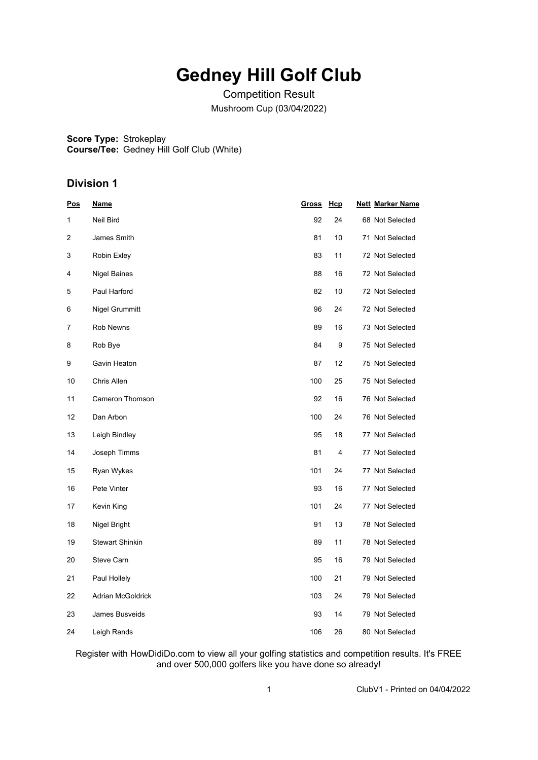## **Gedney Hill Golf Club**

Competition Result Mushroom Cup (03/04/2022)

**Score Type:** Strokeplay **Course/Tee:** Gedney Hill Golf Club (White)

### **Division 1**

| <u>Pos</u>     | <b>Name</b>            | <b>Gross</b> | Hcp | <b>Nett Marker Name</b> |
|----------------|------------------------|--------------|-----|-------------------------|
| 1              | Neil Bird              | 92           | 24  | 68 Not Selected         |
| $\overline{c}$ | James Smith            | 81           | 10  | 71 Not Selected         |
| 3              | Robin Exley            | 83           | 11  | 72 Not Selected         |
| 4              | <b>Nigel Baines</b>    | 88           | 16  | 72 Not Selected         |
| 5              | Paul Harford           | 82           | 10  | 72 Not Selected         |
| 6              | Nigel Grummitt         | 96           | 24  | 72 Not Selected         |
| 7              | Rob Newns              | 89           | 16  | 73 Not Selected         |
| 8              | Rob Bye                | 84           | 9   | 75 Not Selected         |
| 9              | Gavin Heaton           | 87           | 12  | 75 Not Selected         |
| 10             | Chris Allen            | 100          | 25  | 75 Not Selected         |
| 11             | Cameron Thomson        | 92           | 16  | 76 Not Selected         |
| 12             | Dan Arbon              | 100          | 24  | 76 Not Selected         |
| 13             | Leigh Bindley          | 95           | 18  | 77 Not Selected         |
| 14             | Joseph Timms           | 81           | 4   | 77 Not Selected         |
| 15             | Ryan Wykes             | 101          | 24  | 77 Not Selected         |
| 16             | Pete Vinter            | 93           | 16  | 77 Not Selected         |
| 17             | Kevin King             | 101          | 24  | 77 Not Selected         |
| 18             | Nigel Bright           | 91           | 13  | 78 Not Selected         |
| 19             | <b>Stewart Shinkin</b> | 89           | 11  | 78 Not Selected         |
| 20             | <b>Steve Carn</b>      | 95           | 16  | 79 Not Selected         |
| 21             | Paul Hollely           | 100          | 21  | 79 Not Selected         |
| 22             | Adrian McGoldrick      | 103          | 24  | 79 Not Selected         |
| 23             | James Busveids         | 93           | 14  | 79 Not Selected         |
| 24             | Leigh Rands            | 106          | 26  | 80 Not Selected         |

Register with HowDidiDo.com to view all your golfing statistics and competition results. It's FREE and over 500,000 golfers like you have done so already!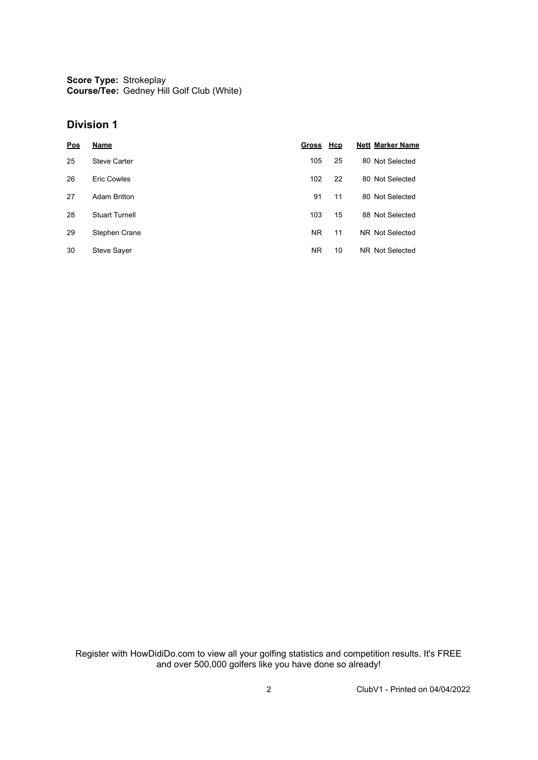**Score Type:** Strokeplay **Course/Tee:** Gedney Hill Golf Club (White)

#### **Division 1**

| <b>Pos</b> | <b>Name</b>           | <b>Gross</b> | <u>Hcp</u> | <b>Nett Marker Name</b> |
|------------|-----------------------|--------------|------------|-------------------------|
| 25         | <b>Steve Carter</b>   | 105          | 25         | 80 Not Selected         |
| 26         | Eric Cowles           | 102          | 22         | 80 Not Selected         |
| 27         | <b>Adam Britton</b>   | 91           | 11         | 80 Not Selected         |
| 28         | <b>Stuart Turnell</b> | 103          | 15         | 88 Not Selected         |
| 29         | Stephen Crane         | NR           | 11         | NR Not Selected         |
| 30         | <b>Steve Sayer</b>    | ΝR           | 10         | NR Not Selected         |

Register with HowDidiDo.com to view all your golfing statistics and competition results. It's FREE and over 500,000 golfers like you have done so already!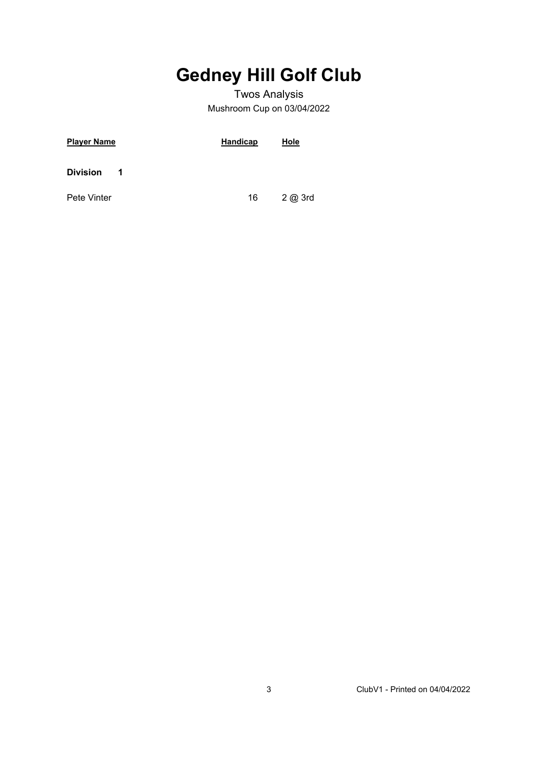# **Gedney Hill Golf Club**

### Twos Analysis Mushroom Cup on 03/04/2022

| <b>Player Name</b>   | <b>Handicap</b> | Hole  |
|----------------------|-----------------|-------|
| <b>Division</b><br>1 |                 |       |
| Pete Vinter          | 16              | 2@3rd |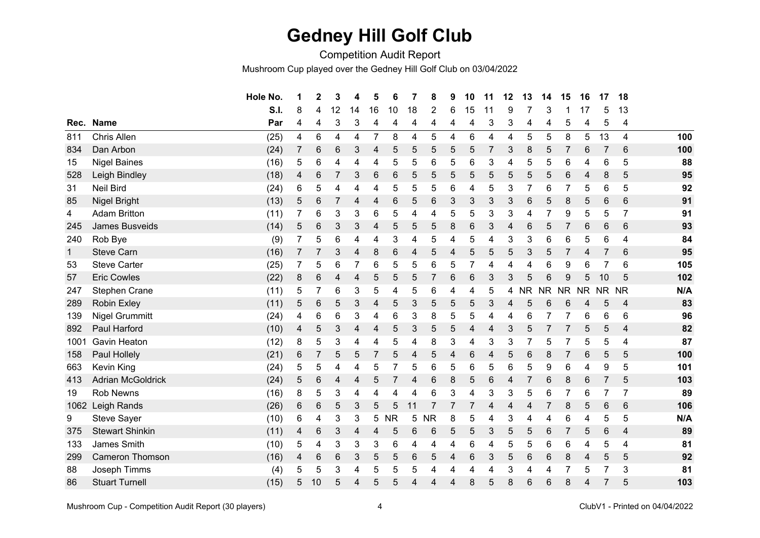## **Gedney Hill Golf Club**

Competition Audit Report

Mushroom Cup played over the Gedney Hill Golf Club on 03/04/2022

|              |                          | Hole No. | 1 | $\mathbf 2$    | 3  | 4              | 5              | 6         | 7  | 8         | 9 | 10 | 11 | 12 | 13             | 14             | 15        | 16        | 17              | 18              |     |
|--------------|--------------------------|----------|---|----------------|----|----------------|----------------|-----------|----|-----------|---|----|----|----|----------------|----------------|-----------|-----------|-----------------|-----------------|-----|
|              |                          | S.I.     | 8 | 4              | 12 | 14             | 16             | 10        | 18 | 2         | 6 | 15 | 11 | 9  |                | 3              |           | 17        | 5               | 13              |     |
| Rec.         | <b>Name</b>              | Par      | 4 | 4              | 3  | 3              | 4              | 4         | 4  | 4         | 4 | 4  | 3  | 3  | 4              | 4              | 5         | 4         | 5               | 4               |     |
| 811          | Chris Allen              | (25)     | 4 | 6              | 4  | $\overline{4}$ | 7              | 8         | 4  | 5         | 4 | 6  | 4  | 4  | 5              | 5              | 8         | 5         | 13              | $\overline{4}$  | 100 |
| 834          | Dan Arbon                | (24)     | 7 | 6              | 6  | 3              | 4              | 5         | 5  | 5         | 5 | 5  | 7  | 3  | 8              | 5              | 7         | 6         | 7               | 6               | 100 |
| 15           | <b>Nigel Baines</b>      | (16)     | 5 | 6              | 4  | 4              | 4              | 5         | 5  | 6         | 5 | 6  | 3  | 4  | 5              | 5              | 6         | 4         | $\,6$           | 5               | 88  |
| 528          | Leigh Bindley            | (18)     | 4 | 6              | 7  | 3              | 6              | 6         | 5  | 5         | 5 | 5  | 5  | 5  | 5              | 5              | 6         | 4         | 8               | 5               | 95  |
| 31           | <b>Neil Bird</b>         | (24)     | 6 | 5              | 4  | 4              | 4              | 5         | 5  | 5         | 6 | 4  | 5  | 3  | $\overline{7}$ | 6              | 7         | 5         | $\,6$           | 5               | 92  |
| 85           | Nigel Bright             | (13)     | 5 | 6              | 7  | 4              | 4              | 6         | 5  | 6         | 3 | 3  | 3  | 3  | $\,6\,$        | 5              | 8         | 5         | $\,6\,$         | $6\phantom{1}6$ | 91  |
| 4            | <b>Adam Britton</b>      | (11)     | 7 | 6              | 3  | 3              | 6              | 5         | 4  | 4         | 5 | 5  | 3  | 3  | 4              | 7              | 9         | 5         | 5               | $\overline{7}$  | 91  |
| 245          | <b>James Busveids</b>    | (14)     | 5 | 6              | 3  | 3              | 4              | 5         | 5  | 5         | 8 | 6  | 3  | 4  | 6              | 5              |           | 6         | 6               | 6               | 93  |
| 240          | Rob Bye                  | (9)      | 7 | 5              | 6  | 4              | 4              | 3         | 4  | 5         | 4 | 5  | 4  | 3  | 3              | 6              | 6         | 5         | 6               | 4               | 84  |
| $\mathbf{1}$ | <b>Steve Carn</b>        | (16)     |   | 7              | 3  | $\overline{4}$ | 8              | 6         | 4  | 5         | 4 | 5  | 5  | 5  | 3              | 5              |           | 4         |                 | 6               | 95  |
| 53           | <b>Steve Carter</b>      | (25)     |   | 5              | 6  | 7              | 6              | 5         | 5  | 6         | 5 | 7  | 4  | 4  | 4              | 6              | 9         | 6         | 7               | 6               | 105 |
| 57           | <b>Eric Cowles</b>       | (22)     | 8 | 6              | 4  | 4              | 5              | 5         | 5  | 7         | 6 | 6  | 3  | 3  | 5              | 6              | 9         | 5         | 10              | 5               | 102 |
| 247          | <b>Stephen Crane</b>     | (11)     | 5 | 7              | 6  | 3              | 5              | 4         | 5  | 6         | 4 | 4  | 5  | 4  | <b>NR</b>      | <b>NR</b>      | <b>NR</b> | <b>NR</b> | NR.             | <b>NR</b>       | N/A |
| 289          | <b>Robin Exley</b>       | (11)     | 5 | 6              | 5  | 3              | 4              | 5         | 3  | 5         | 5 | 5  | 3  | 4  | 5              | 6              | 6         | 4         | 5               | $\overline{4}$  | 83  |
| 139          | <b>Nigel Grummitt</b>    | (24)     | 4 | 6              | 6  | 3              | 4              | 6         | 3  | 8         | 5 | 5  | 4  | 4  | 6              |                |           | 6         | 6               | 6               | 96  |
| 892          | Paul Harford             | (10)     | 4 | 5              | 3  | 4              | 4              | 5         | 3  | 5         | 5 | 4  | 4  | 3  | 5              | 7              | 7         | 5         | 5               | $\overline{4}$  | 82  |
| 1001         | <b>Gavin Heaton</b>      | (12)     | 8 | 5              | 3  | 4              | 4              | 5         | 4  | 8         | 3 | 4  | 3  | 3  | 7              | 5              |           | 5         | 5               | 4               | 87  |
| 158          | Paul Hollely             | (21)     | 6 | $\overline{7}$ | 5  | 5              | $\overline{7}$ | 5         | 4  | 5         | 4 | 6  | 4  | 5  | 6              | 8              | 7         | 6         | 5               | 5               | 100 |
| 663          | Kevin King               | (24)     | 5 | 5              | 4  | 4              | 5              | 7         | 5  | 6         | 5 | 6  | 5  | 6  | 5              | 9              | 6         | 4         | 9               | 5               | 101 |
| 413          | <b>Adrian McGoldrick</b> | (24)     | 5 | 6              | 4  | 4              | 5              | 7         | 4  | 6         | 8 | 5  | 6  | 4  | $\overline{7}$ | 6              | 8         | 6         | $\overline{7}$  | 5               | 103 |
| 19           | <b>Rob Newns</b>         | (16)     | 8 | 5              | 3  | 4              | 4              | 4         | 4  | 6         | 3 | 4  | 3  | 3  | 5              | 6              | 7         | 6         | 7               | 7               | 89  |
| 1062         | Leigh Rands              | (26)     | 6 | 6              | 5  | 3              | 5              | 5         |    |           | 7 |    | 4  | 4  | 4              |                | 8         | 5         | $6\phantom{1}6$ | 6               | 106 |
| 9            | Steve Sayer              | (10)     | 6 | 4              | 3  | 3              | 5              | <b>NR</b> | 5  | <b>NR</b> | 8 | 5  | 4  | 3  | 4              | 4              | 6         | 4         | 5               | 5               | N/A |
| 375          | <b>Stewart Shinkin</b>   | (11)     | 4 | 6              | 3  | 4              | 4              | 5         | 6  | 6         | 5 | 5  | 3  | 5  | 5              | 6              | 7         | 5         | $6\phantom{1}6$ | $\overline{4}$  | 89  |
| 133          | James Smith              | (10)     | 5 | 4              | 3  | 3              | 3              | 6         | 4  | 4         | 4 | 6  | 4  | 5  | 5              | 6              | 6         | 4         | 5               | 4               | 81  |
| 299          | <b>Cameron Thomson</b>   | (16)     | 4 | 6              | 6  | 3              | 5              | 5         | 6  | 5         | 4 | 6  | 3  | 5  | 6              | 6              | 8         | 4         | 5               | 5               | 92  |
| 88           | Joseph Timms             | (4)      | 5 | 5              | 3  | 4              | 5              | 5         | 5  | 4         | 4 | 4  | 4  | 3  | 4              | $\overline{4}$ |           | 5         | $\overline{7}$  | 3               | 81  |
| 86           | <b>Stuart Turnell</b>    | (15)     | 5 | 10             | 5  | 4              | 5              | 5         | 4  | 4         | 4 | 8  | 5  | 8  | 6              | 6              | 8         | 4         | 7               | 5               | 103 |